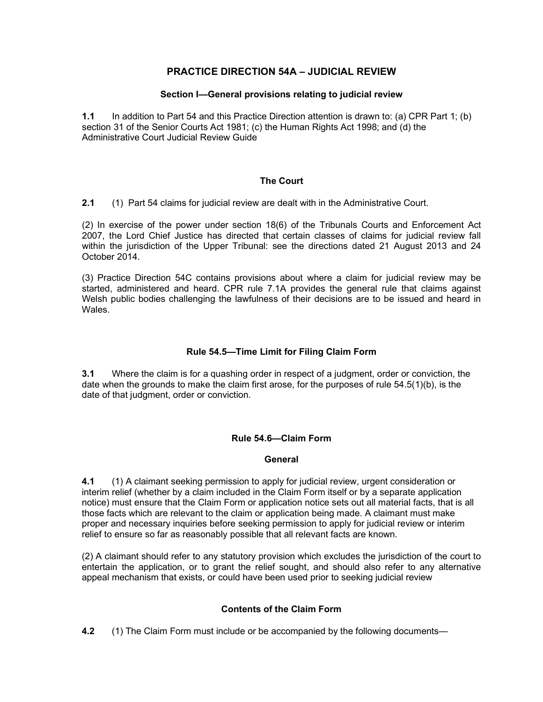## PRACTICE DIRECTION 54A – JUDICIAL REVIEW

### Section I—General provisions relating to judicial review

 1.1 In addition to Part 54 and this Practice Direction attention is drawn to: (a) CPR Part 1; (b) section 31 of the Senior Courts Act 1981; (c) the Human Rights Act 1998; and (d) the Administrative Court Judicial Review Guide

## The Court

**2.1** (1) Part 54 claims for judicial review are dealt with in the Administrative Court.

 (2) In exercise of the power under section 18(6) of the Tribunals Courts and Enforcement Act 2007, the Lord Chief Justice has directed that certain classes of claims for judicial review fall within the jurisdiction of the Upper Tribunal: see the directions dated 21 August 2013 and 24 October 2014.

 (3) Practice Direction 54C contains provisions about where a claim for judicial review may be started, administered and heard. CPR rule 7.1A provides the general rule that claims against Welsh public bodies challenging the lawfulness of their decisions are to be issued and heard in **Wales** 

## Rule 54.5—Time Limit for Filing Claim Form

**3.1** Where the claim is for a quashing order in respect of a judgment, order or conviction, the date when the grounds to make the claim first arose, for the purposes of rule 54.5(1)(b), is the date of that judgment, order or conviction.

### Rule 54.6—Claim Form

## **General**

**4.1** (1) A claimant seeking permission to apply for judicial review, urgent consideration or interim relief (whether by a claim included in the Claim Form itself or by a separate application notice) must ensure that the Claim Form or application notice sets out all material facts, that is all those facts which are relevant to the claim or application being made. A claimant must make proper and necessary inquiries before seeking permission to apply for judicial review or interim relief to ensure so far as reasonably possible that all relevant facts are known.

 (2) A claimant should refer to any statutory provision which excludes the jurisdiction of the court to entertain the application, or to grant the relief sought, and should also refer to any alternative appeal mechanism that exists, or could have been used prior to seeking judicial review

## Contents of the Claim Form

**4.2** (1) The Claim Form must include or be accompanied by the following documents—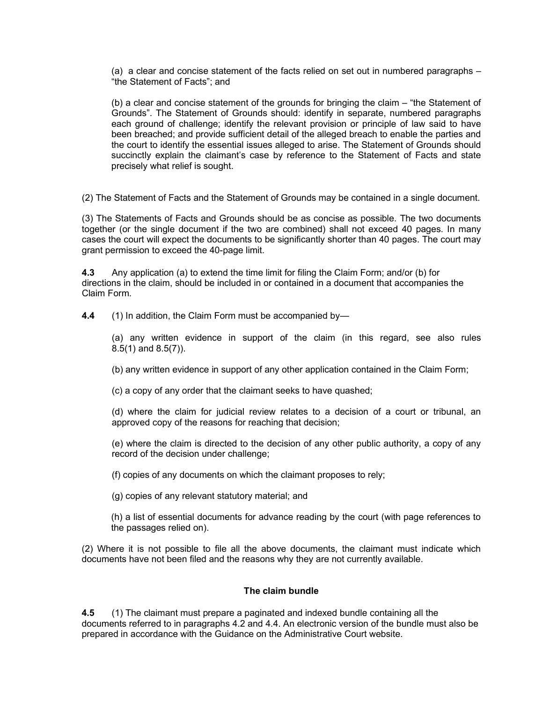(a) a clear and concise statement of the facts relied on set out in numbered paragraphs – "the Statement of Facts"; and

 (b) a clear and concise statement of the grounds for bringing the claim – "the Statement of Grounds". The Statement of Grounds should: identify in separate, numbered paragraphs each ground of challenge; identify the relevant provision or principle of law said to have been breached; and provide sufficient detail of the alleged breach to enable the parties and the court to identify the essential issues alleged to arise. The Statement of Grounds should succinctly explain the claimant's case by reference to the Statement of Facts and state precisely what relief is sought.

(2) The Statement of Facts and the Statement of Grounds may be contained in a single document.

 (3) The Statements of Facts and Grounds should be as concise as possible. The two documents together (or the single document if the two are combined) shall not exceed 40 pages. In many cases the court will expect the documents to be significantly shorter than 40 pages. The court may grant permission to exceed the 40-page limit.

**4.3** Any application (a) to extend the time limit for filing the Claim Form; and/or (b) for directions in the claim, should be included in or contained in a document that accompanies the Claim Form.

4.4 (1) In addition, the Claim Form must be accompanied by-

 (a) any written evidence in support of the claim (in this regard, see also rules 8.5(1) and 8.5(7)).

(b) any written evidence in support of any other application contained in the Claim Form;

(c) a copy of any order that the claimant seeks to have quashed;

 (d) where the claim for judicial review relates to a decision of a court or tribunal, an approved copy of the reasons for reaching that decision;

 (e) where the claim is directed to the decision of any other public authority, a copy of any record of the decision under challenge;

(f) copies of any documents on which the claimant proposes to rely;

(g) copies of any relevant statutory material; and

 (h) a list of essential documents for advance reading by the court (with page references to the passages relied on).

 (2) Where it is not possible to file all the above documents, the claimant must indicate which documents have not been filed and the reasons why they are not currently available.

#### The claim bundle

**4.5** (1) The claimant must prepare a paginated and indexed bundle containing all the documents referred to in paragraphs 4.2 and 4.4. An electronic version of the bundle must also be prepared in accordance with the Guidance on the Administrative Court website.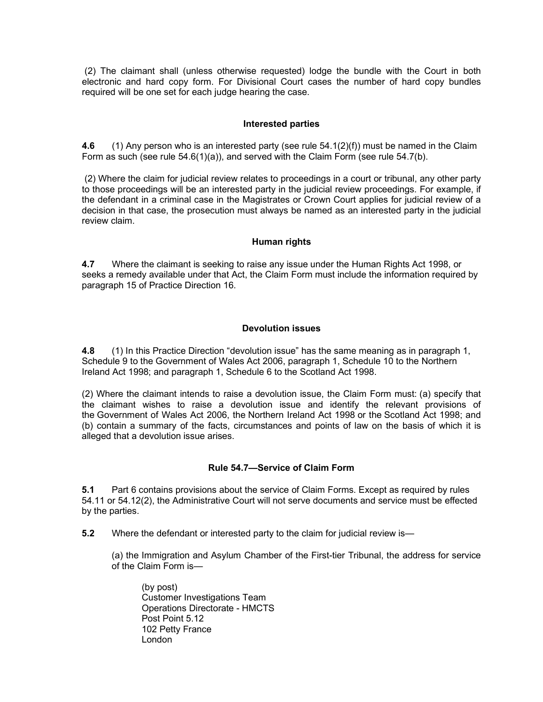(2) The claimant shall (unless otherwise requested) lodge the bundle with the Court in both electronic and hard copy form. For Divisional Court cases the number of hard copy bundles required will be one set for each judge hearing the case.

#### Interested parties

**4.6** (1) Any person who is an interested party (see rule 54.1(2)(f)) must be named in the Claim Form as such (see rule 54.6(1)(a)), and served with the Claim Form (see rule 54.7(b).

 (2) Where the claim for judicial review relates to proceedings in a court or tribunal, any other party to those proceedings will be an interested party in the judicial review proceedings. For example, if the defendant in a criminal case in the Magistrates or Crown Court applies for judicial review of a decision in that case, the prosecution must always be named as an interested party in the judicial review claim.

#### Human rights

**4.7** Where the claimant is seeking to raise any issue under the Human Rights Act 1998, or seeks a remedy available under that Act, the Claim Form must include the information required by paragraph 15 of Practice Direction 16.

#### Devolution issues

**4.8** (1) In this Practice Direction "devolution issue" has the same meaning as in paragraph 1, Schedule 9 to the Government of Wales Act 2006, paragraph 1, Schedule 10 to the Northern Ireland Act 1998; and paragraph 1, Schedule 6 to the Scotland Act 1998.

 (2) Where the claimant intends to raise a devolution issue, the Claim Form must: (a) specify that the claimant wishes to raise a devolution issue and identify the relevant provisions of the Government of Wales Act 2006, the Northern Ireland Act 1998 or the Scotland Act 1998; and (b) contain a summary of the facts, circumstances and points of law on the basis of which it is alleged that a devolution issue arises.

#### Rule 54.7—Service of Claim Form

 $5.1$  54.11 or 54.12(2), the Administrative Court will not serve documents and service must be effected by the parties. Part 6 contains provisions about the service of Claim Forms. Except as required by rules

**5.2** Where the defendant or interested party to the claim for judicial review is—

 (a) the Immigration and Asylum Chamber of the First-tier Tribunal, the address for service of the Claim Form is—

 (by post) Customer Investigations Team Operations Directorate - HMCTS Post Point 5.12 102 Petty France London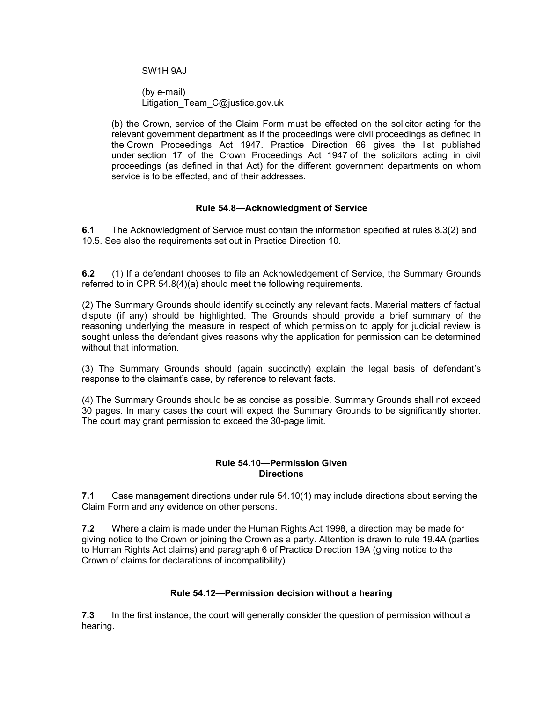SW1H 9AJ

 (by e-mail) Litigation\_Team\_C@justice.gov.uk

 (b) the Crown, service of the Claim Form must be effected on the solicitor acting for the relevant government department as if the proceedings were civil proceedings as defined in the Crown Proceedings Act 1947. Practice Direction 66 gives the list published under section 17 of the Crown Proceedings Act 1947 of the solicitors acting in civil proceedings (as defined in that Act) for the different government departments on whom service is to be effected, and of their addresses.

### Rule 54.8—Acknowledgment of Service

 $6.1$  10.5. See also the requirements set out in Practice Direction 10. The Acknowledgment of Service must contain the information specified at rules 8.3(2) and

**6.2** (1) If a defendant chooses to file an Acknowledgement of Service, the Summary Grounds referred to in CPR 54.8(4)(a) should meet the following requirements.

 (2) The Summary Grounds should identify succinctly any relevant facts. Material matters of factual dispute (if any) should be highlighted. The Grounds should provide a brief summary of the reasoning underlying the measure in respect of which permission to apply for judicial review is sought unless the defendant gives reasons why the application for permission can be determined without that information.

 (3) The Summary Grounds should (again succinctly) explain the legal basis of defendant's response to the claimant's case, by reference to relevant facts.

 (4) The Summary Grounds should be as concise as possible. Summary Grounds shall not exceed 30 pages. In many cases the court will expect the Summary Grounds to be significantly shorter. The court may grant permission to exceed the 30-page limit.

### Rule 54.10—Permission Given **Directions**

 7.1 Case management directions under rule 54.10(1) may include directions about serving the Claim Form and any evidence on other persons.

**7.2** Where a claim is made under the Human Rights Act 1998, a direction may be made for giving notice to the Crown or joining the Crown as a party. Attention is drawn to rule 19.4A (parties to Human Rights Act claims) and paragraph 6 of Practice Direction 19A (giving notice to the Crown of claims for declarations of incompatibility).

## Rule 54.12—Permission decision without a hearing

**7.3** In the first instance, the court will generally consider the question of permission without a hearing.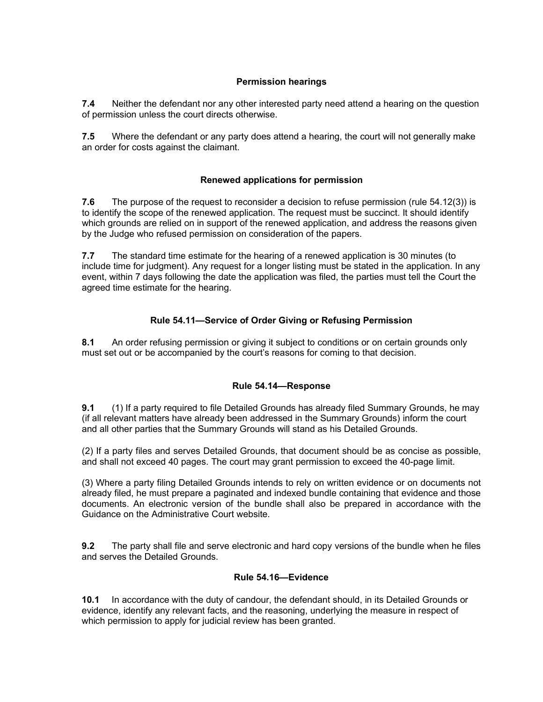## Permission hearings

**7.4** Neither the defendant nor any other interested party need attend a hearing on the question of permission unless the court directs otherwise.

**7.5** Where the defendant or any party does attend a hearing, the court will not generally make an order for costs against the claimant.

## Renewed applications for permission

**7.6** The purpose of the request to reconsider a decision to refuse permission (rule  $54.12(3)$ ) is to identify the scope of the renewed application. The request must be succinct. It should identify which grounds are relied on in support of the renewed application, and address the reasons given by the Judge who refused permission on consideration of the papers.

**7.7** The standard time estimate for the hearing of a renewed application is 30 minutes (to include time for judgment). Any request for a longer listing must be stated in the application. In any event, within 7 days following the date the application was filed, the parties must tell the Court the agreed time estimate for the hearing.

## Rule 54.11—Service of Order Giving or Refusing Permission

8.1 An order refusing permission or giving it subject to conditions or on certain grounds only must set out or be accompanied by the court's reasons for coming to that decision.

## Rule 54.14—Response

**9.1** (1) If a party required to file Detailed Grounds has already filed Summary Grounds, he may (if all relevant matters have already been addressed in the Summary Grounds) inform the court and all other parties that the Summary Grounds will stand as his Detailed Grounds.

 (2) If a party files and serves Detailed Grounds, that document should be as concise as possible, and shall not exceed 40 pages. The court may grant permission to exceed the 40-page limit.

 (3) Where a party filing Detailed Grounds intends to rely on written evidence or on documents not already filed, he must prepare a paginated and indexed bundle containing that evidence and those documents. An electronic version of the bundle shall also be prepared in accordance with the Guidance on the Administrative Court website.

**9.2** The party shall file and serve electronic and hard copy versions of the bundle when he files and serves the Detailed Grounds.

## Rule 54.16—Evidence

10.1 In accordance with the duty of candour, the defendant should, in its Detailed Grounds or evidence, identify any relevant facts, and the reasoning, underlying the measure in respect of which permission to apply for judicial review has been granted.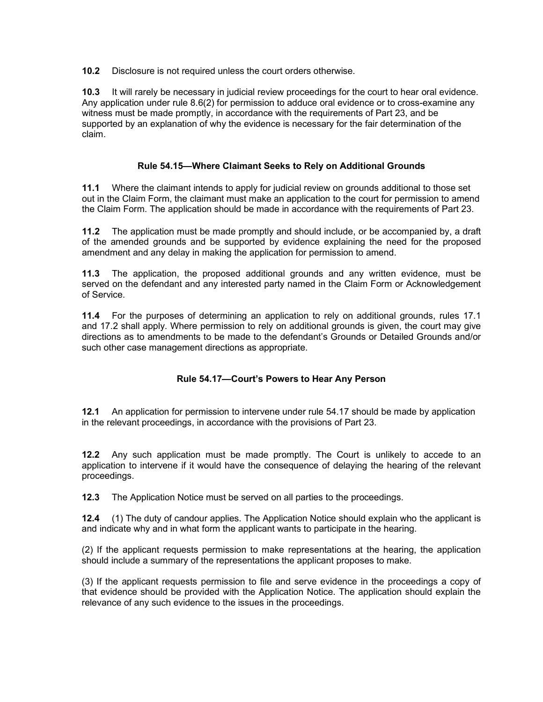10.2 Disclosure is not required unless the court orders otherwise.

**10.3** It will rarely be necessary in judicial review proceedings for the court to hear oral evidence. Any application under rule 8.6(2) for permission to adduce oral evidence or to cross-examine any witness must be made promptly, in accordance with the requirements of Part 23, and be supported by an explanation of why the evidence is necessary for the fair determination of the claim.

## Rule 54.15—Where Claimant Seeks to Rely on Additional Grounds

 11.1 Where the claimant intends to apply for judicial review on grounds additional to those set out in the Claim Form, the claimant must make an application to the court for permission to amend the Claim Form. The application should be made in accordance with the requirements of Part 23.

**11.2** The application must be made promptly and should include, or be accompanied by, a draft of the amended grounds and be supported by evidence explaining the need for the proposed amendment and any delay in making the application for permission to amend.

**11.3** The application, the proposed additional grounds and any written evidence, must be served on the defendant and any interested party named in the Claim Form or Acknowledgement of Service.

11.4 For the purposes of determining an application to rely on additional grounds, rules 17.1 and 17.2 shall apply. Where permission to rely on additional grounds is given, the court may give directions as to amendments to be made to the defendant's Grounds or Detailed Grounds and/or such other case management directions as appropriate.

#### Rule 54.17—Court's Powers to Hear Any Person

**12.1** An application for permission to intervene under rule 54.17 should be made by application in the relevant proceedings, in accordance with the provisions of Part 23.

**12.2** Any such application must be made promptly. The Court is unlikely to accede to an application to intervene if it would have the consequence of delaying the hearing of the relevant proceedings.

**12.3** The Application Notice must be served on all parties to the proceedings.

**12.4** (1) The duty of candour applies. The Application Notice should explain who the applicant is and indicate why and in what form the applicant wants to participate in the hearing.

 (2) If the applicant requests permission to make representations at the hearing, the application should include a summary of the representations the applicant proposes to make.

 (3) If the applicant requests permission to file and serve evidence in the proceedings a copy of that evidence should be provided with the Application Notice. The application should explain the relevance of any such evidence to the issues in the proceedings.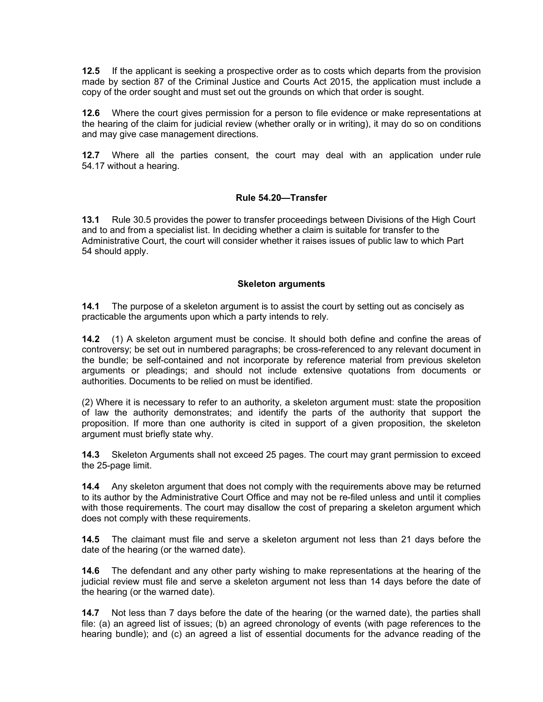**12.5** If the applicant is seeking a prospective order as to costs which departs from the provision made by section 87 of the Criminal Justice and Courts Act 2015, the application must include a copy of the order sought and must set out the grounds on which that order is sought.

**12.6** Where the court gives permission for a person to file evidence or make representations at the hearing of the claim for judicial review (whether orally or in writing), it may do so on conditions and may give case management directions.

**12.7** Where all the parties consent, the court may deal with an application under rule 54.17 without a hearing.

#### Rule 54.20—Transfer

 $13.1$  and to and from a specialist list. In deciding whether a claim is suitable for transfer to the Administrative Court, the court will consider whether it raises issues of public law to which Part 54 should apply. 13.1 Rule 30.5 provides the power to transfer proceedings between Divisions of the High Court

#### Skeleton arguments

**14.1** The purpose of a skeleton argument is to assist the court by setting out as concisely as practicable the arguments upon which a party intends to rely.

**14.2** (1) A skeleton argument must be concise. It should both define and confine the areas of controversy; be set out in numbered paragraphs; be cross-referenced to any relevant document in the bundle; be self-contained and not incorporate by reference material from previous skeleton arguments or pleadings; and should not include extensive quotations from documents or authorities. Documents to be relied on must be identified.

 (2) Where it is necessary to refer to an authority, a skeleton argument must: state the proposition of law the authority demonstrates; and identify the parts of the authority that support the proposition. If more than one authority is cited in support of a given proposition, the skeleton argument must briefly state why.

**14.3** Skeleton Arguments shall not exceed 25 pages. The court may grant permission to exceed the 25-page limit.

**14.4** Any skeleton argument that does not comply with the requirements above may be returned to its author by the Administrative Court Office and may not be re-filed unless and until it complies with those requirements. The court may disallow the cost of preparing a skeleton argument which does not comply with these requirements.

**14.5** The claimant must file and serve a skeleton argument not less than 21 days before the date of the hearing (or the warned date).

**14.6** The defendant and any other party wishing to make representations at the hearing of the judicial review must file and serve a skeleton argument not less than 14 days before the date of the hearing (or the warned date).

**14.7** Not less than 7 days before the date of the hearing (or the warned date), the parties shall file: (a) an agreed list of issues; (b) an agreed chronology of events (with page references to the hearing bundle); and (c) an agreed a list of essential documents for the advance reading of the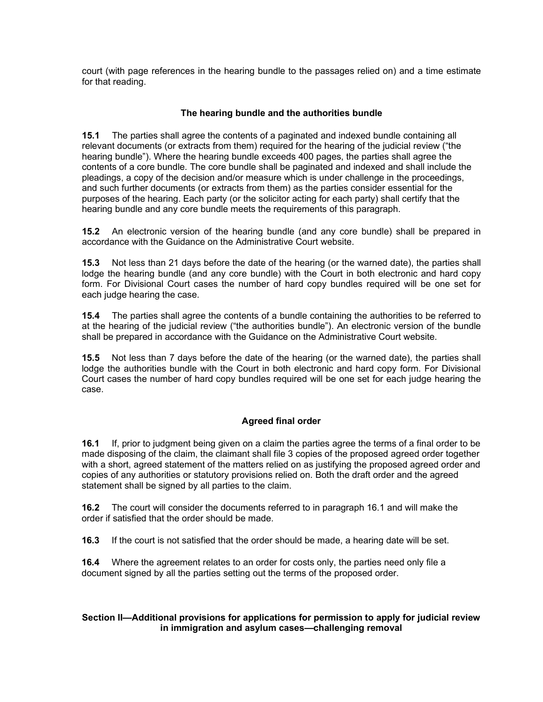court (with page references in the hearing bundle to the passages relied on) and a time estimate for that reading.

## The hearing bundle and the authorities bundle

 15.1 The parties shall agree the contents of a paginated and indexed bundle containing all relevant documents (or extracts from them) required for the hearing of the judicial review ("the hearing bundle"). Where the hearing bundle exceeds 400 pages, the parties shall agree the contents of a core bundle. The core bundle shall be paginated and indexed and shall include the pleadings, a copy of the decision and/or measure which is under challenge in the proceedings, and such further documents (or extracts from them) as the parties consider essential for the purposes of the hearing. Each party (or the solicitor acting for each party) shall certify that the hearing bundle and any core bundle meets the requirements of this paragraph.

 15.2 An electronic version of the hearing bundle (and any core bundle) shall be prepared in accordance with the Guidance on the Administrative Court website.

**15.3** Not less than 21 days before the date of the hearing (or the warned date), the parties shall lodge the hearing bundle (and any core bundle) with the Court in both electronic and hard copy form. For Divisional Court cases the number of hard copy bundles required will be one set for each judge hearing the case.

**15.4** The parties shall agree the contents of a bundle containing the authorities to be referred to at the hearing of the judicial review ("the authorities bundle"). An electronic version of the bundle shall be prepared in accordance with the Guidance on the Administrative Court website.

**15.5** Not less than 7 days before the date of the hearing (or the warned date), the parties shall lodge the authorities bundle with the Court in both electronic and hard copy form. For Divisional Court cases the number of hard copy bundles required will be one set for each judge hearing the case.

## Agreed final order

**16.1** If, prior to judgment being given on a claim the parties agree the terms of a final order to be made disposing of the claim, the claimant shall file 3 copies of the proposed agreed order together with a short, agreed statement of the matters relied on as justifying the proposed agreed order and copies of any authorities or statutory provisions relied on. Both the draft order and the agreed statement shall be signed by all parties to the claim.

**16.2** The court will consider the documents referred to in paragraph 16.1 and will make the order if satisfied that the order should be made.

**16.3** If the court is not satisfied that the order should be made, a hearing date will be set.

**16.4** Where the agreement relates to an order for costs only, the parties need only file a document signed by all the parties setting out the terms of the proposed order.

## Section II—Additional provisions for applications for permission to apply for judicial review in immigration and asylum cases—challenging removal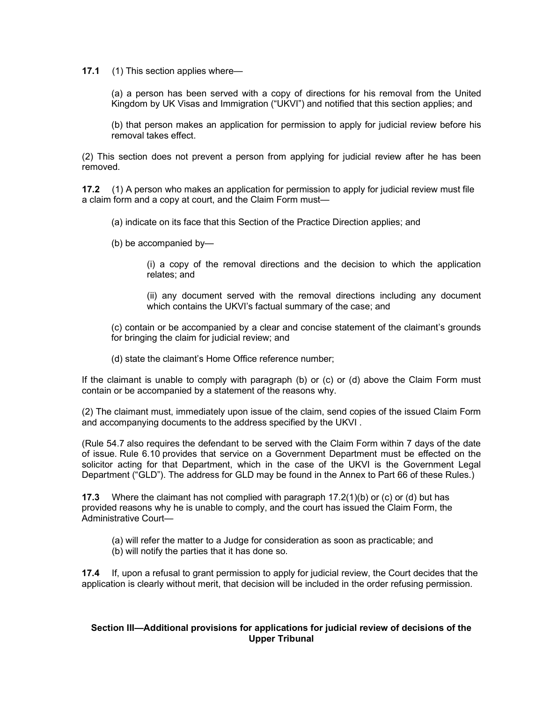17.1 (1) This section applies where—

 (a) a person has been served with a copy of directions for his removal from the United Kingdom by UK Visas and Immigration ("UKVI") and notified that this section applies; and

 (b) that person makes an application for permission to apply for judicial review before his removal takes effect.

 (2) This section does not prevent a person from applying for judicial review after he has been removed.

**17.2** (1) A person who makes an application for permission to apply for judicial review must file a claim form and a copy at court, and the Claim Form must—

(a) indicate on its face that this Section of the Practice Direction applies; and

(b) be accompanied by—

 (i) a copy of the removal directions and the decision to which the application relates; and

 (ii) any document served with the removal directions including any document which contains the UKVI's factual summary of the case; and

 (c) contain or be accompanied by a clear and concise statement of the claimant's grounds for bringing the claim for judicial review; and

(d) state the claimant's Home Office reference number;

 If the claimant is unable to comply with paragraph (b) or (c) or (d) above the Claim Form must contain or be accompanied by a statement of the reasons why.

 (2) The claimant must, immediately upon issue of the claim, send copies of the issued Claim Form and accompanying documents to the address specified by the UKVI .

 (Rule 54.7 also requires the defendant to be served with the Claim Form within 7 days of the date of issue. Rule 6.10 provides that service on a Government Department must be effected on the solicitor acting for that Department, which in the case of the UKVI is the Government Legal Department ("GLD"). The address for GLD may be found in the Annex to Part 66 of these Rules.)

**17.3** Where the claimant has not complied with paragraph  $17.2(1)(b)$  or (c) or (d) but has provided reasons why he is unable to comply, and the court has issued the Claim Form, the Administrative Court—

 (a) will refer the matter to a Judge for consideration as soon as practicable; and (b) will notify the parties that it has done so.

**17.4** If, upon a refusal to grant permission to apply for judicial review, the Court decides that the application is clearly without merit, that decision will be included in the order refusing permission.

#### Section III—Additional provisions for applications for judicial review of decisions of the Upper Tribunal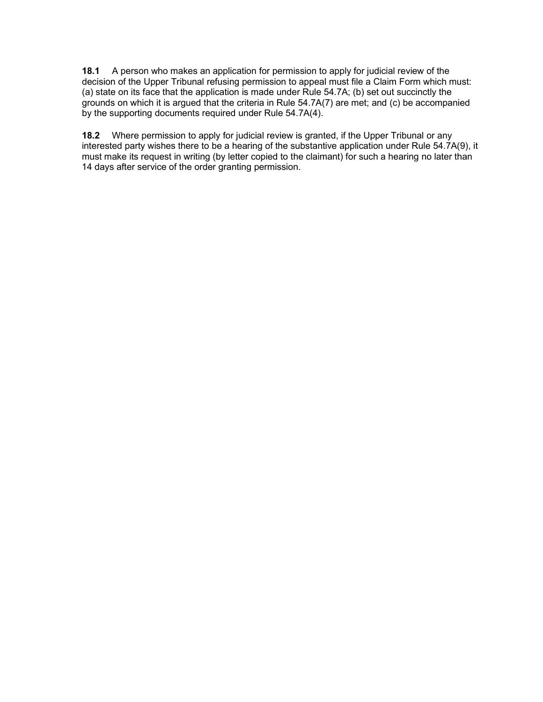**18.1** A person who makes an application for permission to apply for judicial review of the decision of the Upper Tribunal refusing permission to appeal must file a Claim Form which must: (a) state on its face that the application is made under Rule 54.7A; (b) set out succinctly the grounds on which it is argued that the criteria in Rule 54.7A(7) are met; and (c) be accompanied by the supporting documents required under Rule 54.7A(4).

**18.2** Where permission to apply for judicial review is granted, if the Upper Tribunal or any interested party wishes there to be a hearing of the substantive application under Rule 54.7A(9), it must make its request in writing (by letter copied to the claimant) for such a hearing no later than 14 days after service of the order granting permission.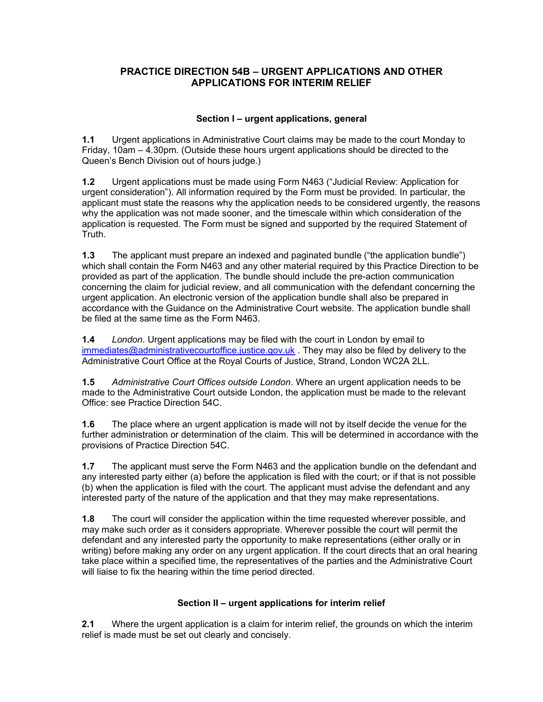# PRACTICE DIRECTION 54B – URGENT APPLICATIONS AND OTHER APPLICATIONS FOR INTERIM RELIEF

## Section I – urgent applications, general

 $1.1$  Friday, 10am – 4.30pm. (Outside these hours urgent applications should be directed to the Queen's Bench Division out of hours judge.) Urgent applications in Administrative Court claims may be made to the court Monday to

 1.2 Urgent applications must be made using Form N463 ("Judicial Review: Application for urgent consideration"). All information required by the Form must be provided. In particular, the applicant must state the reasons why the application needs to be considered urgently, the reasons why the application was not made sooner, and the timescale within which consideration of the application is requested. The Form must be signed and supported by the required Statement of Truth.

 1.3 The applicant must prepare an indexed and paginated bundle ("the application bundle") which shall contain the Form N463 and any other material required by this Practice Direction to be provided as part of the application. The bundle should include the pre-action communication concerning the claim for judicial review, and all communication with the defendant concerning the urgent application. An electronic version of the application bundle shall also be prepared in accordance with the Guidance on the Administrative Court website. The application bundle shall be filed at the same time as the Form N463.

**1.4** London. Urgent applications may be filed with the court in London by email to immediates@administrativecourtoffice.justice.gov.uk . They may also be filed by delivery to the Administrative Court Office at the Royal Courts of Justice, Strand, London WC2A 2LL.

**1.5** Administrative Court Offices outside London. Where an urgent application needs to be made to the Administrative Court outside London, the application must be made to the relevant Office: see Practice Direction 54C.

**1.6** The place where an urgent application is made will not by itself decide the venue for the further administration or determination of the claim. This will be determined in accordance with the provisions of Practice Direction 54C.

**1.7** The applicant must serve the Form N463 and the application bundle on the defendant and any interested party either (a) before the application is filed with the court; or if that is not possible (b) when the application is filed with the court. The applicant must advise the defendant and any interested party of the nature of the application and that they may make representations.

**1.8** The court will consider the application within the time requested wherever possible, and may make such order as it considers appropriate. Wherever possible the court will permit the defendant and any interested party the opportunity to make representations (either orally or in writing) before making any order on any urgent application. If the court directs that an oral hearing take place within a specified time, the representatives of the parties and the Administrative Court will liaise to fix the hearing within the time period directed.

## Section II – urgent applications for interim relief

**2.1** Where the urgent application is a claim for interim relief, the grounds on which the interim relief is made must be set out clearly and concisely.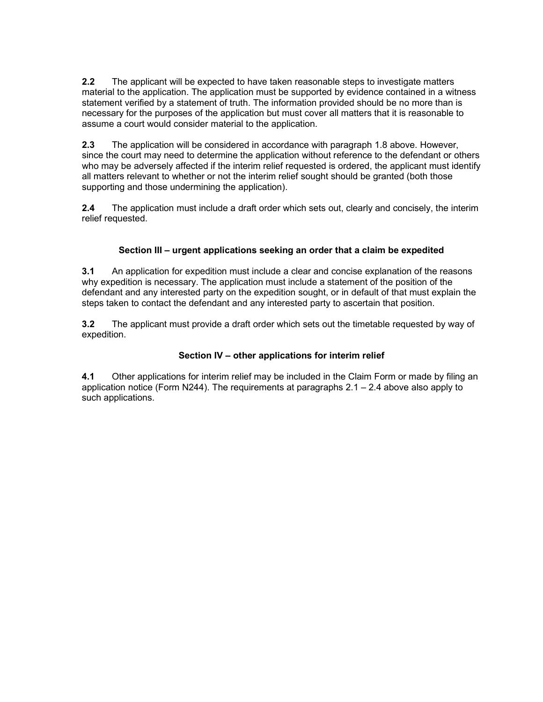**2.2** The applicant will be expected to have taken reasonable steps to investigate matters material to the application. The application must be supported by evidence contained in a witness statement verified by a statement of truth. The information provided should be no more than is necessary for the purposes of the application but must cover all matters that it is reasonable to assume a court would consider material to the application.

**2.3** The application will be considered in accordance with paragraph 1.8 above. However, since the court may need to determine the application without reference to the defendant or others who may be adversely affected if the interim relief requested is ordered, the applicant must identify all matters relevant to whether or not the interim relief sought should be granted (both those supporting and those undermining the application).

**2.4** The application must include a draft order which sets out, clearly and concisely, the interim relief requested.

## Section III – urgent applications seeking an order that a claim be expedited

**3.1** An application for expedition must include a clear and concise explanation of the reasons why expedition is necessary. The application must include a statement of the position of the defendant and any interested party on the expedition sought, or in default of that must explain the steps taken to contact the defendant and any interested party to ascertain that position.

**3.2** The applicant must provide a draft order which sets out the timetable requested by way of expedition.

## Section IV – other applications for interim relief

**4.1** Other applications for interim relief may be included in the Claim Form or made by filing an application notice (Form N244). The requirements at paragraphs 2.1 – 2.4 above also apply to such applications.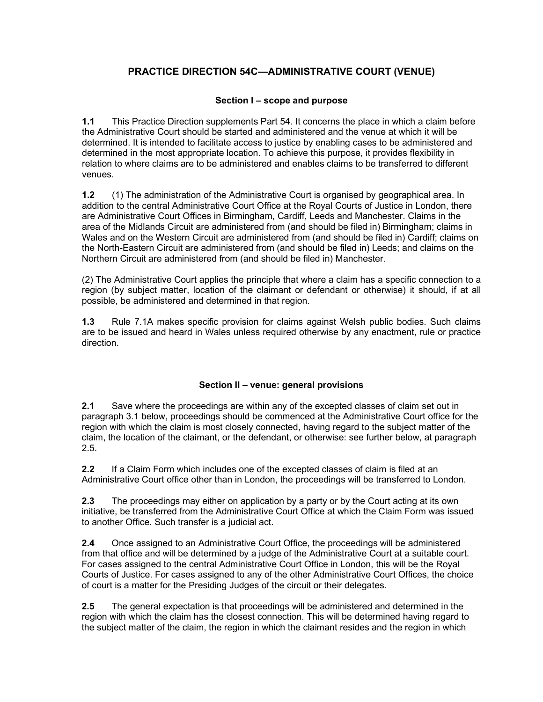# PRACTICE DIRECTION 54C—ADMINISTRATIVE COURT (VENUE)

## Section I – scope and purpose

**1.1** This Practice Direction supplements Part 54. It concerns the place in which a claim before the Administrative Court should be started and administered and the venue at which it will be determined. It is intended to facilitate access to justice by enabling cases to be administered and determined in the most appropriate location. To achieve this purpose, it provides flexibility in relation to where claims are to be administered and enables claims to be transferred to different venues.

**1.2** (1) The administration of the Administrative Court is organised by geographical area. In addition to the central Administrative Court Office at the Royal Courts of Justice in London, there are Administrative Court Offices in Birmingham, Cardiff, Leeds and Manchester. Claims in the area of the Midlands Circuit are administered from (and should be filed in) Birmingham; claims in Wales and on the Western Circuit are administered from (and should be filed in) Cardiff; claims on the North-Eastern Circuit are administered from (and should be filed in) Leeds; and claims on the Northern Circuit are administered from (and should be filed in) Manchester.

 (2) The Administrative Court applies the principle that where a claim has a specific connection to a region (by subject matter, location of the claimant or defendant or otherwise) it should, if at all possible, be administered and determined in that region.

**1.3** Rule 7.1A makes specific provision for claims against Welsh public bodies. Such claims are to be issued and heard in Wales unless required otherwise by any enactment, rule or practice direction.

## Section II – venue: general provisions

 $2.1$  paragraph 3.1 below, proceedings should be commenced at the Administrative Court office for the region with which the claim is most closely connected, having regard to the subject matter of the claim, the location of the claimant, or the defendant, or otherwise: see further below, at paragraph Save where the proceedings are within any of the excepted classes of claim set out in 2.5.

**2.2** If a Claim Form which includes one of the excepted classes of claim is filed at an Administrative Court office other than in London, the proceedings will be transferred to London.

**2.3** The proceedings may either on application by a party or by the Court acting at its own initiative, be transferred from the Administrative Court Office at which the Claim Form was issued to another Office. Such transfer is a judicial act.

 2.4 Once assigned to an Administrative Court Office, the proceedings will be administered from that office and will be determined by a judge of the Administrative Court at a suitable court. For cases assigned to the central Administrative Court Office in London, this will be the Royal Courts of Justice. For cases assigned to any of the other Administrative Court Offices, the choice of court is a matter for the Presiding Judges of the circuit or their delegates.

**2.5** The general expectation is that proceedings will be administered and determined in the region with which the claim has the closest connection. This will be determined having regard to the subject matter of the claim, the region in which the claimant resides and the region in which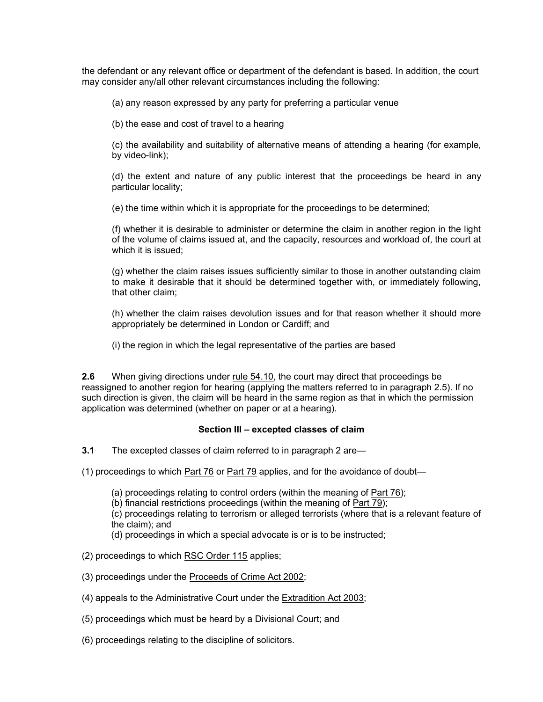the defendant or any relevant office or department of the defendant is based. In addition, the court may consider any/all other relevant circumstances including the following:

(a) any reason expressed by any party for preferring a particular venue

(b) the ease and cost of travel to a hearing

 (c) the availability and suitability of alternative means of attending a hearing (for example, by video-link);

 (d) the extent and nature of any public interest that the proceedings be heard in any particular locality;

(e) the time within which it is appropriate for the proceedings to be determined;

 (f) whether it is desirable to administer or determine the claim in another region in the light of the volume of claims issued at, and the capacity, resources and workload of, the court at which it is issued;

 (g) whether the claim raises issues sufficiently similar to those in another outstanding claim to make it desirable that it should be determined together with, or immediately following, that other claim;

 (h) whether the claim raises devolution issues and for that reason whether it should more appropriately be determined in London or Cardiff; and

(i) the region in which the legal representative of the parties are based

**2.6** When giving directions under rule 54.10, the court may direct that proceedings be reassigned to another region for hearing (applying the matters referred to in paragraph 2.5). If no such direction is given, the claim will be heard in the same region as that in which the permission application was determined (whether on paper or at a hearing).

#### Section III – excepted classes of claim

**3.1** The excepted classes of claim referred to in paragraph 2 are-

(1) proceedings to which <u>Part 76</u> or <u>Part 79</u> applies, and for the avoidance of doubt—

(a) proceedings relating to control orders (within the meaning of Part 76);

(b) financial restrictions proceedings (within the meaning of Part 79);

 (c) proceedings relating to terrorism or alleged terrorists (where that is a relevant feature of the claim); and

(d) proceedings in which a special advocate is or is to be instructed;

- (2) proceedings to which RSC Order 115 applies;
- (3) proceedings under the Proceeds of Crime Act 2002;
- (4) appeals to the Administrative Court under the Extradition Act 2003;

(5) proceedings which must be heard by a Divisional Court; and

(6) proceedings relating to the discipline of solicitors.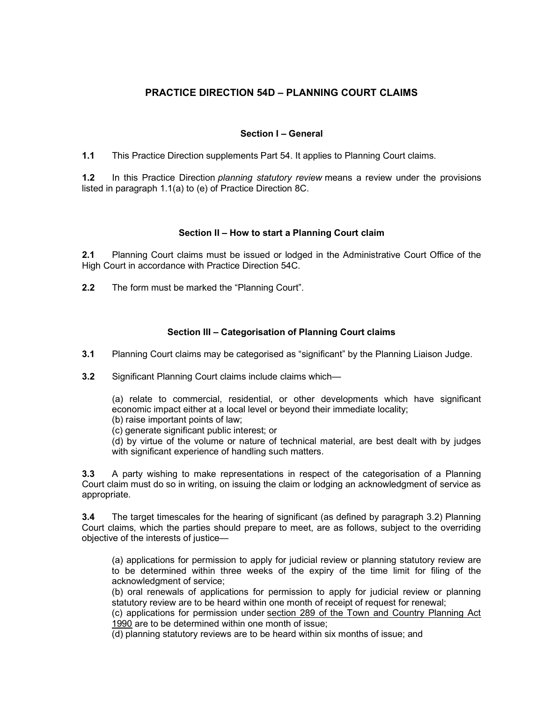# PRACTICE DIRECTION 54D – PLANNING COURT CLAIMS

## Section I – General

1.1 This Practice Direction supplements Part 54. It applies to Planning Court claims.

1.2 In this Practice Direction planning statutory review means a review under the provisions listed in paragraph 1.1(a) to (e) of Practice Direction 8C.

## Section II – How to start a Planning Court claim

2.1 Planning Court claims must be issued or lodged in the Administrative Court Office of the High Court in accordance with Practice Direction 54C.

**2.2** The form must be marked the "Planning Court".

# Section III – Categorisation of Planning Court claims

3.1 Planning Court claims may be categorised as "significant" by the Planning Liaison Judge.

3.2 Significant Planning Court claims include claims which—

 (a) relate to commercial, residential, or other developments which have significant economic impact either at a local level or beyond their immediate locality;

(b) raise important points of law;

(c) generate significant public interest; or

 (d) by virtue of the volume or nature of technical material, are best dealt with by judges with significant experience of handling such matters.

**3.3** A party wishing to make representations in respect of the categorisation of a Planning Court claim must do so in writing, on issuing the claim or lodging an acknowledgment of service as appropriate.

**3.4** The target timescales for the hearing of significant (as defined by paragraph 3.2) Planning Court claims, which the parties should prepare to meet, are as follows, subject to the overriding objective of the interests of justice—

 (a) applications for permission to apply for judicial review or planning statutory review are to be determined within three weeks of the expiry of the time limit for filing of the acknowledgment of service;

 (b) oral renewals of applications for permission to apply for judicial review or planning statutory review are to be heard within one month of receipt of request for renewal;

 (c) applications for permission under section 289 of the Town and Country Planning Act 1990 are to be determined within one month of issue;

(d) planning statutory reviews are to be heard within six months of issue; and